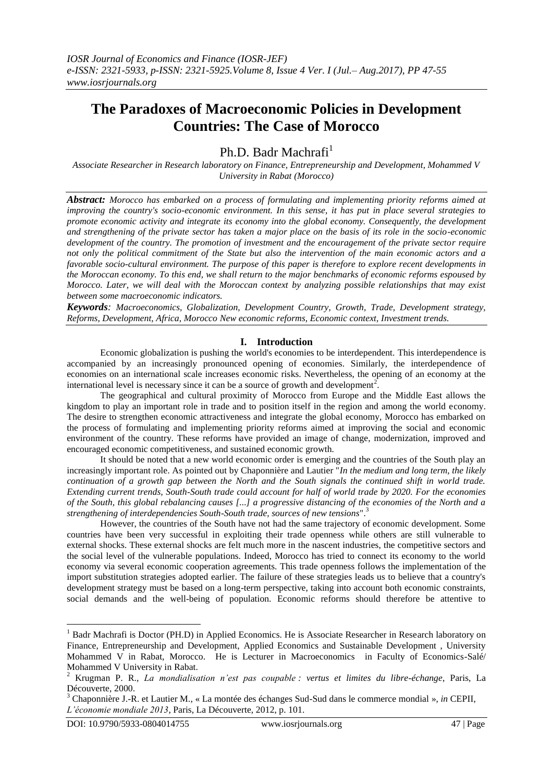# **The Paradoxes of Macroeconomic Policies in Development Countries: The Case of Morocco**

Ph.D. Badr Machrafi<sup>1</sup>

*Associate Researcher in Research laboratory on Finance, Entrepreneurship and Development, Mohammed V University in Rabat (Morocco)*

*Abstract: Morocco has embarked on a process of formulating and implementing priority reforms aimed at improving the country's socio-economic environment. In this sense, it has put in place several strategies to promote economic activity and integrate its economy into the global economy. Consequently, the development and strengthening of the private sector has taken a major place on the basis of its role in the socio-economic development of the country. The promotion of investment and the encouragement of the private sector require not only the political commitment of the State but also the intervention of the main economic actors and a favorable socio-cultural environment. The purpose of this paper is therefore to explore recent developments in the Moroccan economy. To this end, we shall return to the major benchmarks of economic reforms espoused by Morocco. Later, we will deal with the Moroccan context by analyzing possible relationships that may exist between some macroeconomic indicators.*

*Keywords: Macroeconomics, Globalization, Development Country, Growth, Trade, Development strategy, Reforms, Development, Africa, Morocco New economic reforms, Economic context, Investment trends.*

# **I. Introduction**

Economic globalization is pushing the world's economies to be interdependent. This interdependence is accompanied by an increasingly pronounced opening of economies. Similarly, the interdependence of economies on an international scale increases economic risks. Nevertheless, the opening of an economy at the international level is necessary since it can be a source of growth and development<sup>2</sup>.

The geographical and cultural proximity of Morocco from Europe and the Middle East allows the kingdom to play an important role in trade and to position itself in the region and among the world economy. The desire to strengthen economic attractiveness and integrate the global economy, Morocco has embarked on the process of formulating and implementing priority reforms aimed at improving the social and economic environment of the country. These reforms have provided an image of change, modernization, improved and encouraged economic competitiveness, and sustained economic growth.

It should be noted that a new world economic order is emerging and the countries of the South play an increasingly important role. As pointed out by Chaponnière and Lautier "*In the medium and long term, the likely continuation of a growth gap between the North and the South signals the continued shift in world trade. Extending current trends, South-South trade could account for half of world trade by 2020. For the economies of the South, this global rebalancing causes [...] a progressive distancing of the economies of the North and a strengthening of interdependencies South-South trade, sources of new tensions*".<sup>3</sup>

However, the countries of the South have not had the same trajectory of economic development. Some countries have been very successful in exploiting their trade openness while others are still vulnerable to external shocks. These external shocks are felt much more in the nascent industries, the competitive sectors and the social level of the vulnerable populations. Indeed, Morocco has tried to connect its economy to the world economy via several economic cooperation agreements. This trade openness follows the implementation of the import substitution strategies adopted earlier. The failure of these strategies leads us to believe that a country's development strategy must be based on a long-term perspective, taking into account both economic constraints, social demands and the well-being of population. Economic reforms should therefore be attentive to

<sup>&</sup>lt;sup>1</sup> Badr Machrafi is Doctor (PH.D) in Applied Economics. He is Associate Researcher in Research laboratory on Finance, Entrepreneurship and Development, Applied Economics and Sustainable Development , University Mohammed V in Rabat, Morocco. He is Lecturer in Macroeconomics in Faculty of Economics-Salé/ Mohammed V University in Rabat.

<sup>2</sup> Krugman P. R., *La mondialisation n'est pas coupable : vertus et limites du libre-échange*, Paris, La Découverte, 2000.

<sup>3</sup> Chaponnière J.-R. et Lautier M., « La montée des échanges Sud-Sud dans le commerce mondial », *in* CEPII, *L'économie mondiale 2013*, Paris, La Découverte, 2012, p. 101.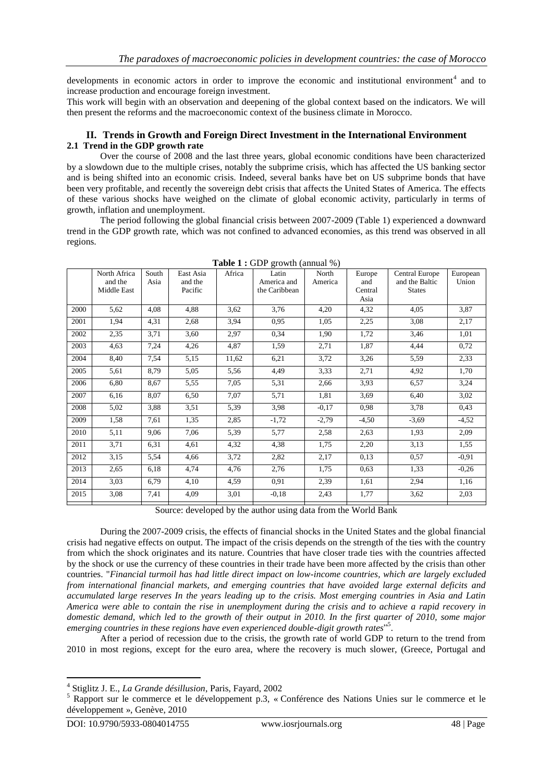developments in economic actors in order to improve the economic and institutional environment<sup>4</sup> and to increase production and encourage foreign investment.

This work will begin with an observation and deepening of the global context based on the indicators. We will then present the reforms and the macroeconomic context of the business climate in Morocco.

# **II. Trends in Growth and Foreign Direct Investment in the International Environment 2.1 Trend in the GDP growth rate**

Over the course of 2008 and the last three years, global economic conditions have been characterized by a slowdown due to the multiple crises, notably the subprime crisis, which has affected the US banking sector and is being shifted into an economic crisis. Indeed, several banks have bet on US subprime bonds that have been very profitable, and recently the sovereign debt crisis that affects the United States of America. The effects of these various shocks have weighed on the climate of global economic activity, particularly in terms of growth, inflation and unemployment.

The period following the global financial crisis between 2007-2009 (Table 1) experienced a downward trend in the GDP growth rate, which was not confined to advanced economies, as this trend was observed in all regions.

|      | North Africa<br>and the<br>Middle East | South<br>Asia | East Asia<br>and the<br>Pacific | Africa | Latin<br>America and<br>the Caribbean | North<br>America | Europe<br>and<br>Central<br>Asia | Central Europe<br>and the Baltic<br><b>States</b> | European<br>Union |
|------|----------------------------------------|---------------|---------------------------------|--------|---------------------------------------|------------------|----------------------------------|---------------------------------------------------|-------------------|
| 2000 | 5,62                                   | 4.08          | 4,88                            | 3,62   | 3,76                                  | 4,20             | 4,32                             | 4,05                                              | 3,87              |
| 2001 | 1,94                                   | 4,31          | 2,68                            | 3,94   | 0.95                                  | 1,05             | 2,25                             | 3,08                                              | 2,17              |
| 2002 | 2,35                                   | 3,71          | 3,60                            | 2,97   | 0.34                                  | 1,90             | 1,72                             | 3,46                                              | 1,01              |
| 2003 | 4,63                                   | 7,24          | 4,26                            | 4,87   | 1,59                                  | 2,71             | 1,87                             | 4,44                                              | 0,72              |
| 2004 | 8,40                                   | 7,54          | 5,15                            | 11,62  | 6,21                                  | 3,72             | 3,26                             | 5,59                                              | 2,33              |
| 2005 | 5,61                                   | 8.79          | 5,05                            | 5,56   | 4.49                                  | 3,33             | 2,71                             | 4,92                                              | 1,70              |
| 2006 | 6,80                                   | 8.67          | 5,55                            | 7,05   | 5,31                                  | 2,66             | 3,93                             | 6,57                                              | 3,24              |
| 2007 | 6,16                                   | 8,07          | 6,50                            | 7,07   | 5,71                                  | 1,81             | 3,69                             | 6,40                                              | 3,02              |
| 2008 | 5.02                                   | 3,88          | 3,51                            | 5,39   | 3.98                                  | $-0.17$          | 0,98                             | 3,78                                              | 0,43              |
| 2009 | 1,58                                   | 7,61          | 1,35                            | 2,85   | $-1,72$                               | $-2,79$          | $-4,50$                          | $-3,69$                                           | $-4,52$           |
| 2010 | 5,11                                   | 9,06          | 7,06                            | 5,39   | 5,77                                  | 2,58             | 2,63                             | 1,93                                              | 2,09              |
| 2011 | 3,71                                   | 6,31          | 4,61                            | 4,32   | 4,38                                  | 1,75             | 2,20                             | 3,13                                              | 1,55              |
| 2012 | 3,15                                   | 5,54          | 4,66                            | 3,72   | 2,82                                  | 2,17             | 0,13                             | 0,57                                              | $-0,91$           |
| 2013 | 2,65                                   | 6.18          | 4,74                            | 4,76   | 2,76                                  | 1,75             | 0,63                             | 1,33                                              | $-0,26$           |
| 2014 | 3,03                                   | 6,79          | 4,10                            | 4,59   | 0,91                                  | 2,39             | 1,61                             | 2,94                                              | 1,16              |
| 2015 | 3,08                                   | 7,41          | 4.09                            | 3,01   | $-0.18$                               | 2,43             | 1,77                             | 3,62                                              | 2,03              |

**Table 1 :** GDP growth (annual %)

Source: developed by the author using data from the World Bank

During the 2007-2009 crisis, the effects of financial shocks in the United States and the global financial crisis had negative effects on output. The impact of the crisis depends on the strength of the ties with the country from which the shock originates and its nature. Countries that have closer trade ties with the countries affected by the shock or use the currency of these countries in their trade have been more affected by the crisis than other countries. "*Financial turmoil has had little direct impact on low-income countries, which are largely excluded from international financial markets, and emerging countries that have avoided large external deficits and accumulated large reserves In the years leading up to the crisis. Most emerging countries in Asia and Latin America were able to contain the rise in unemployment during the crisis and to achieve a rapid recovery in domestic demand, which led to the growth of their output in 2010. In the first quarter of 2010, some major*  emerging countries in these regions have even experienced double-digit growth rates"<sup>5</sup>.

After a period of recession due to the crisis, the growth rate of world GDP to return to the trend from 2010 in most regions, except for the euro area, where the recovery is much slower, (Greece, Portugal and

<sup>4</sup> Stiglitz J. E., *La Grande désillusion*, Paris, Fayard, 2002

<sup>&</sup>lt;sup>5</sup> Rapport sur le commerce et le développement p.3, « Conférence des Nations Unies sur le commerce et le développement », Genève, 2010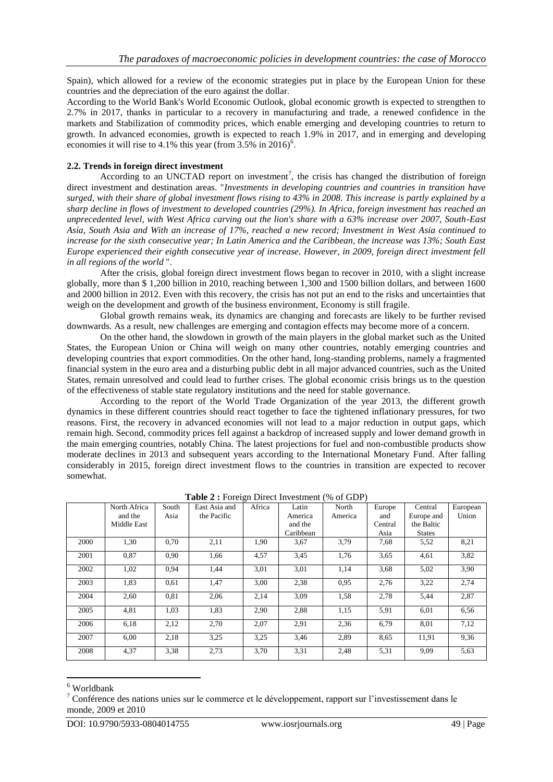Spain), which allowed for a review of the economic strategies put in place by the European Union for these countries and the depreciation of the euro against the dollar.

According to the World Bank's World Economic Outlook, global economic growth is expected to strengthen to 2.7% in 2017, thanks in particular to a recovery in manufacturing and trade, a renewed confidence in the markets and Stabilization of commodity prices, which enable emerging and developing countries to return to growth. In advanced economies, growth is expected to reach 1.9% in 2017, and in emerging and developing economies it will rise to 4.1% this year (from  $3.5\%$  in 2016)<sup>6</sup>.

## **2.2. Trends in foreign direct investment**

According to an UNCTAD report on investment<sup>7</sup>, the crisis has changed the distribution of foreign direct investment and destination areas. "*Investments in developing countries and countries in transition have surged, with their share of global investment flows rising to 43% in 2008. This increase is partly explained by a sharp decline in flows of investment to developed countries (29%). In Africa, foreign investment has reached an unprecedented level, with West Africa carving out the lion's share with a 63% increase over 2007, South-East Asia, South Asia and With an increase of 17%, reached a new record; Investment in West Asia continued to increase for the sixth consecutive year; In Latin America and the Caribbean, the increase was 13%; South East Europe experienced their eighth consecutive year of increase. However, in 2009, foreign direct investment fell in all regions of the world* ".

After the crisis, global foreign direct investment flows began to recover in 2010, with a slight increase globally, more than \$ 1,200 billion in 2010, reaching between 1,300 and 1500 billion dollars, and between 1600 and 2000 billion in 2012. Even with this recovery, the crisis has not put an end to the risks and uncertainties that weigh on the development and growth of the business environment, Economy is still fragile.

Global growth remains weak, its dynamics are changing and forecasts are likely to be further revised downwards. As a result, new challenges are emerging and contagion effects may become more of a concern.

On the other hand, the slowdown in growth of the main players in the global market such as the United States, the European Union or China will weigh on many other countries, notably emerging countries and developing countries that export commodities. On the other hand, long-standing problems, namely a fragmented financial system in the euro area and a disturbing public debt in all major advanced countries, such as the United States, remain unresolved and could lead to further crises. The global economic crisis brings us to the question of the effectiveness of stable state regulatory institutions and the need for stable governance.

According to the report of the World Trade Organization of the year 2013, the different growth dynamics in these different countries should react together to face the tightened inflationary pressures, for two reasons. First, the recovery in advanced economies will not lead to a major reduction in output gaps, which remain high. Second, commodity prices fell against a backdrop of increased supply and lower demand growth in the main emerging countries, notably China. The latest projections for fuel and non-combustible products show moderate declines in 2013 and subsequent years according to the International Monetary Fund. After falling considerably in 2015, foreign direct investment flows to the countries in transition are expected to recover somewhat.

|      | North Africa | South | East Asia and | Africa | Latin     | North   | Europe  | Central       | European |
|------|--------------|-------|---------------|--------|-----------|---------|---------|---------------|----------|
|      | and the      | Asia  | the Pacific   |        | America   | America | and     | Europe and    | Union    |
|      | Middle East  |       |               |        | and the   |         | Central | the Baltic    |          |
|      |              |       |               |        | Caribbean |         | Asia    | <b>States</b> |          |
| 2000 | 1,30         | 0,70  | 2,11          | 1,90   | 3,67      | 3.79    | 7,68    | 5,52          | 8,21     |
| 2001 | 0,87         | 0,90  | 1,66          | 4,57   | 3,45      | 1,76    | 3,65    | 4,61          | 3.82     |
| 2002 | 1,02         | 0,94  | 1.44          | 3,01   | 3,01      | 1,14    | 3,68    | 5.02          | 3.90     |
| 2003 | 1,83         | 0,61  | 1,47          | 3,00   | 2,38      | 0.95    | 2,76    | 3,22          | 2,74     |
| 2004 | 2,60         | 0.81  | 2,06          | 2,14   | 3,09      | 1,58    | 2,78    | 5.44          | 2,87     |
| 2005 | 4,81         | 1,03  | 1,83          | 2,90   | 2,88      | 1,15    | 5,91    | 6,01          | 6.56     |
| 2006 | 6,18         | 2,12  | 2,70          | 2,07   | 2,91      | 2,36    | 6,79    | 8,01          | 7,12     |
| 2007 | 6,00         | 2,18  | 3.25          | 3.25   | 3,46      | 2,89    | 8,65    | 11,91         | 9.36     |
| 2008 | 4,37         | 3,38  | 2,73          | 3,70   | 3,31      | 2,48    | 5,31    | 9,09          | 5.63     |

**Table 2 :** Foreign Direct Investment (% of GDP)

<sup>6</sup> Worldbank

<sup>7</sup> Conférence des nations unies sur le commerce et le développement, rapport sur l'investissement dans le monde, 2009 et 2010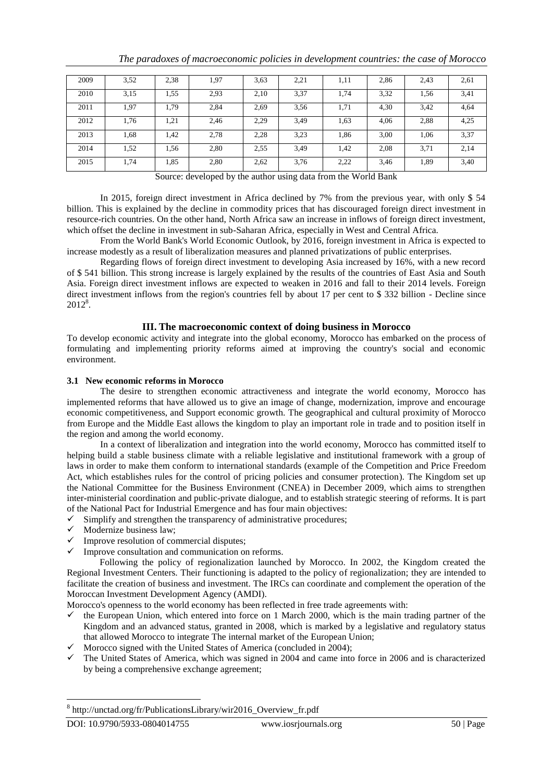| 2009 | 3,52 | 2,38 | 1,97 | 3,63 | 2,21 | 1,11 | 2,86 | 2,43 | 2,61 |
|------|------|------|------|------|------|------|------|------|------|
| 2010 | 3,15 | 1,55 | 2,93 | 2,10 | 3,37 | 1,74 | 3,32 | 1,56 | 3,41 |
| 2011 | 1,97 | 1.79 | 2,84 | 2.69 | 3,56 | 1,71 | 4,30 | 3,42 | 4,64 |
| 2012 | 1,76 | 1,21 | 2,46 | 2.29 | 3.49 | 1,63 | 4,06 | 2,88 | 4,25 |
| 2013 | 1,68 | 1,42 | 2,78 | 2,28 | 3,23 | 1,86 | 3,00 | 1,06 | 3,37 |
| 2014 | 1,52 | 1,56 | 2,80 | 2,55 | 3,49 | 1,42 | 2,08 | 3,71 | 2,14 |
| 2015 | 1,74 | 1,85 | 2,80 | 2,62 | 3,76 | 2,22 | 3,46 | 1,89 | 3,40 |

*The paradoxes of macroeconomic policies in development countries: the case of Morocco*

Source: developed by the author using data from the World Bank

In 2015, foreign direct investment in Africa declined by 7% from the previous year, with only \$ 54 billion. This is explained by the decline in commodity prices that has discouraged foreign direct investment in resource-rich countries. On the other hand, North Africa saw an increase in inflows of foreign direct investment, which offset the decline in investment in sub-Saharan Africa, especially in West and Central Africa.

From the World Bank's World Economic Outlook, by 2016, foreign investment in Africa is expected to increase modestly as a result of liberalization measures and planned privatizations of public enterprises.

Regarding flows of foreign direct investment to developing Asia increased by 16%, with a new record of \$ 541 billion. This strong increase is largely explained by the results of the countries of East Asia and South Asia. Foreign direct investment inflows are expected to weaken in 2016 and fall to their 2014 levels. Foreign direct investment inflows from the region's countries fell by about 17 per cent to \$ 332 billion - Decline since 2012<sup>8</sup>.

# **III. The macroeconomic context of doing business in Morocco**

To develop economic activity and integrate into the global economy, Morocco has embarked on the process of formulating and implementing priority reforms aimed at improving the country's social and economic environment.

# **3.1 New economic reforms in Morocco**

The desire to strengthen economic attractiveness and integrate the world economy, Morocco has implemented reforms that have allowed us to give an image of change, modernization, improve and encourage economic competitiveness, and Support economic growth. The geographical and cultural proximity of Morocco from Europe and the Middle East allows the kingdom to play an important role in trade and to position itself in the region and among the world economy.

In a context of liberalization and integration into the world economy, Morocco has committed itself to helping build a stable business climate with a reliable legislative and institutional framework with a group of laws in order to make them conform to international standards (example of the Competition and Price Freedom Act, which establishes rules for the control of pricing policies and consumer protection). The Kingdom set up the National Committee for the Business Environment (CNEA) in December 2009, which aims to strengthen inter-ministerial coordination and public-private dialogue, and to establish strategic steering of reforms. It is part of the National Pact for Industrial Emergence and has four main objectives:

- $\checkmark$  Simplify and strengthen the transparency of administrative procedures;
- $\checkmark$  Modernize business law;
- $\checkmark$  Improve resolution of commercial disputes;
- $\checkmark$  Improve consultation and communication on reforms.

Following the policy of regionalization launched by Morocco. In 2002, the Kingdom created the Regional Investment Centers. Their functioning is adapted to the policy of regionalization; they are intended to facilitate the creation of business and investment. The IRCs can coordinate and complement the operation of the Moroccan Investment Development Agency (AMDI).

Morocco's openness to the world economy has been reflected in free trade agreements with:

- $\checkmark$  the European Union, which entered into force on 1 March 2000, which is the main trading partner of the Kingdom and an advanced status, granted in 2008, which is marked by a legislative and regulatory status that allowed Morocco to integrate The internal market of the European Union;
- $\checkmark$  Morocco signed with the United States of America (concluded in 2004);
- $\checkmark$  The United States of America, which was signed in 2004 and came into force in 2006 and is characterized by being a comprehensive exchange agreement;

<sup>8</sup> http://unctad.org/fr/PublicationsLibrary/wir2016\_Overview\_fr.pdf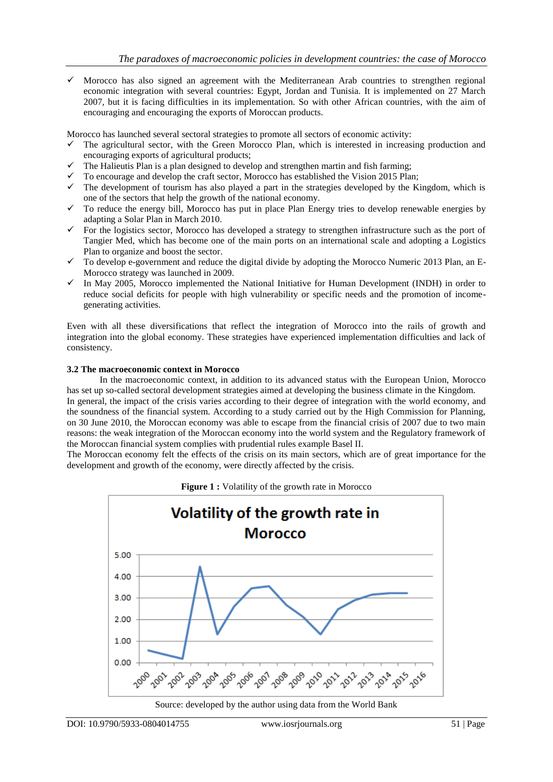$\checkmark$  Morocco has also signed an agreement with the Mediterranean Arab countries to strengthen regional economic integration with several countries: Egypt, Jordan and Tunisia. It is implemented on 27 March 2007, but it is facing difficulties in its implementation. So with other African countries, with the aim of encouraging and encouraging the exports of Moroccan products.

Morocco has launched several sectoral strategies to promote all sectors of economic activity:

- The agricultural sector, with the Green Morocco Plan, which is interested in increasing production and encouraging exports of agricultural products;
- $\checkmark$  The Halieutis Plan is a plan designed to develop and strengthen martin and fish farming;
- $\checkmark$  To encourage and develop the craft sector, Morocco has established the Vision 2015 Plan;
- $\checkmark$  The development of tourism has also played a part in the strategies developed by the Kingdom, which is one of the sectors that help the growth of the national economy.
- $\checkmark$  To reduce the energy bill, Morocco has put in place Plan Energy tries to develop renewable energies by adapting a Solar Plan in March 2010.
- $\checkmark$  For the logistics sector, Morocco has developed a strategy to strengthen infrastructure such as the port of Tangier Med, which has become one of the main ports on an international scale and adopting a Logistics Plan to organize and boost the sector.
- $\checkmark$  To develop e-government and reduce the digital divide by adopting the Morocco Numeric 2013 Plan, an E-Morocco strategy was launched in 2009.
- $\checkmark$  In May 2005, Morocco implemented the National Initiative for Human Development (INDH) in order to reduce social deficits for people with high vulnerability or specific needs and the promotion of incomegenerating activities.

Even with all these diversifications that reflect the integration of Morocco into the rails of growth and integration into the global economy. These strategies have experienced implementation difficulties and lack of consistency.

### **3.2 The macroeconomic context in Morocco**

In the macroeconomic context, in addition to its advanced status with the European Union, Morocco has set up so-called sectoral development strategies aimed at developing the business climate in the Kingdom. In general, the impact of the crisis varies according to their degree of integration with the world economy, and the soundness of the financial system. According to a study carried out by the High Commission for Planning, on 30 June 2010, the Moroccan economy was able to escape from the financial crisis of 2007 due to two main reasons: the weak integration of the Moroccan economy into the world system and the Regulatory framework of

the Moroccan financial system complies with prudential rules example Basel II. The Moroccan economy felt the effects of the crisis on its main sectors, which are of great importance for the development and growth of the economy, were directly affected by the crisis.



**Figure 1 :** Volatility of the growth rate in Morocco

Source: developed by the author using data from the World Bank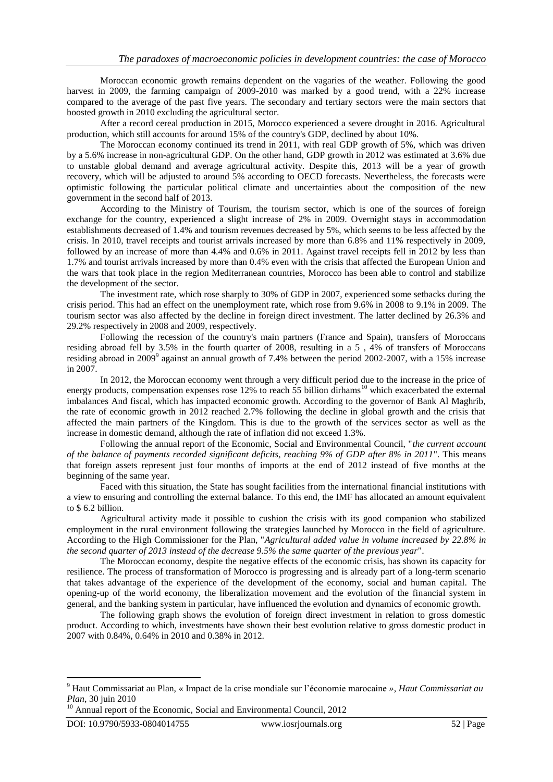Moroccan economic growth remains dependent on the vagaries of the weather. Following the good harvest in 2009, the farming campaign of 2009-2010 was marked by a good trend, with a 22% increase compared to the average of the past five years. The secondary and tertiary sectors were the main sectors that boosted growth in 2010 excluding the agricultural sector.

After a record cereal production in 2015, Morocco experienced a severe drought in 2016. Agricultural production, which still accounts for around 15% of the country's GDP, declined by about 10%.

The Moroccan economy continued its trend in 2011, with real GDP growth of 5%, which was driven by a 5.6% increase in non-agricultural GDP. On the other hand, GDP growth in 2012 was estimated at 3.6% due to unstable global demand and average agricultural activity. Despite this, 2013 will be a year of growth recovery, which will be adjusted to around 5% according to OECD forecasts. Nevertheless, the forecasts were optimistic following the particular political climate and uncertainties about the composition of the new government in the second half of 2013.

According to the Ministry of Tourism, the tourism sector, which is one of the sources of foreign exchange for the country, experienced a slight increase of 2% in 2009. Overnight stays in accommodation establishments decreased of 1.4% and tourism revenues decreased by 5%, which seems to be less affected by the crisis. In 2010, travel receipts and tourist arrivals increased by more than 6.8% and 11% respectively in 2009, followed by an increase of more than 4.4% and 0.6% in 2011. Against travel receipts fell in 2012 by less than 1.7% and tourist arrivals increased by more than 0.4% even with the crisis that affected the European Union and the wars that took place in the region Mediterranean countries, Morocco has been able to control and stabilize the development of the sector.

The investment rate, which rose sharply to 30% of GDP in 2007, experienced some setbacks during the crisis period. This had an effect on the unemployment rate, which rose from 9.6% in 2008 to 9.1% in 2009. The tourism sector was also affected by the decline in foreign direct investment. The latter declined by 26.3% and 29.2% respectively in 2008 and 2009, respectively.

Following the recession of the country's main partners (France and Spain), transfers of Moroccans residing abroad fell by 3.5% in the fourth quarter of 2008, resulting in a 5 , 4% of transfers of Moroccans residing abroad in 2009<sup>9</sup> against an annual growth of 7.4% between the period 2002-2007, with a 15% increase in 2007.

In 2012, the Moroccan economy went through a very difficult period due to the increase in the price of energy products, compensation expenses rose  $12%$  to reach 55 billion dirhams<sup>10</sup> which exacerbated the external imbalances And fiscal, which has impacted economic growth. According to the governor of Bank Al Maghrib, the rate of economic growth in 2012 reached 2.7% following the decline in global growth and the crisis that affected the main partners of the Kingdom. This is due to the growth of the services sector as well as the increase in domestic demand, although the rate of inflation did not exceed 1.3%.

Following the annual report of the Economic, Social and Environmental Council, "*the current account of the balance of payments recorded significant deficits, reaching 9% of GDP after 8% in 2011*". This means that foreign assets represent just four months of imports at the end of 2012 instead of five months at the beginning of the same year.

Faced with this situation, the State has sought facilities from the international financial institutions with a view to ensuring and controlling the external balance. To this end, the IMF has allocated an amount equivalent to \$ 6.2 billion.

Agricultural activity made it possible to cushion the crisis with its good companion who stabilized employment in the rural environment following the strategies launched by Morocco in the field of agriculture. According to the High Commissioner for the Plan, "*Agricultural added value in volume increased by 22.8% in the second quarter of 2013 instead of the decrease 9.5% the same quarter of the previous year*".

The Moroccan economy, despite the negative effects of the economic crisis, has shown its capacity for resilience. The process of transformation of Morocco is progressing and is already part of a long-term scenario that takes advantage of the experience of the development of the economy, social and human capital. The opening-up of the world economy, the liberalization movement and the evolution of the financial system in general, and the banking system in particular, have influenced the evolution and dynamics of economic growth.

The following graph shows the evolution of foreign direct investment in relation to gross domestic product. According to which, investments have shown their best evolution relative to gross domestic product in 2007 with 0.84%, 0.64% in 2010 and 0.38% in 2012.

<sup>9</sup> Haut Commissariat au Plan, « Impact de la crise mondiale sur l'économie marocaine *»*, *Haut Commissariat au Plan*, 30 juin 2010

<sup>&</sup>lt;sup>10</sup> Annual report of the Economic, Social and Environmental Council, 2012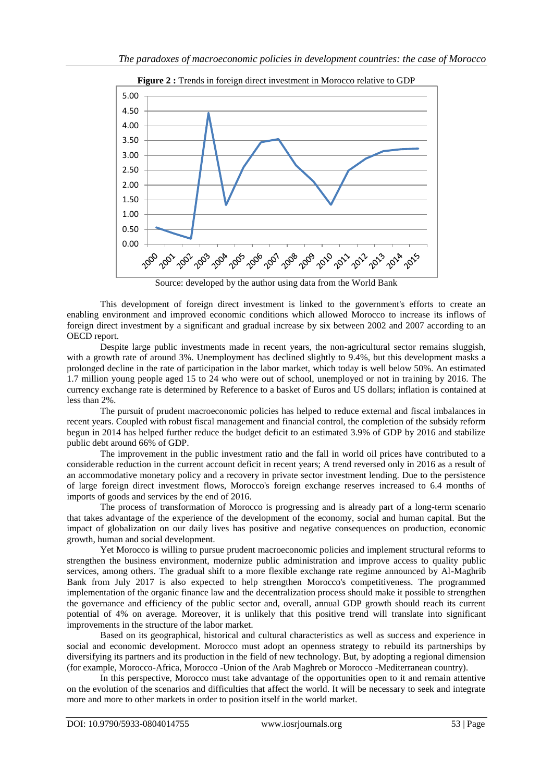

**Figure 2 :** Trends in foreign direct investment in Morocco relative to GDP

Source: developed by the author using data from the World Bank

This development of foreign direct investment is linked to the government's efforts to create an enabling environment and improved economic conditions which allowed Morocco to increase its inflows of foreign direct investment by a significant and gradual increase by six between 2002 and 2007 according to an OECD report.

Despite large public investments made in recent years, the non-agricultural sector remains sluggish, with a growth rate of around 3%. Unemployment has declined slightly to 9.4%, but this development masks a prolonged decline in the rate of participation in the labor market, which today is well below 50%. An estimated 1.7 million young people aged 15 to 24 who were out of school, unemployed or not in training by 2016. The currency exchange rate is determined by Reference to a basket of Euros and US dollars; inflation is contained at less than 2%.

The pursuit of prudent macroeconomic policies has helped to reduce external and fiscal imbalances in recent years. Coupled with robust fiscal management and financial control, the completion of the subsidy reform begun in 2014 has helped further reduce the budget deficit to an estimated 3.9% of GDP by 2016 and stabilize public debt around 66% of GDP.

The improvement in the public investment ratio and the fall in world oil prices have contributed to a considerable reduction in the current account deficit in recent years; A trend reversed only in 2016 as a result of an accommodative monetary policy and a recovery in private sector investment lending. Due to the persistence of large foreign direct investment flows, Morocco's foreign exchange reserves increased to 6.4 months of imports of goods and services by the end of 2016.

The process of transformation of Morocco is progressing and is already part of a long-term scenario that takes advantage of the experience of the development of the economy, social and human capital. But the impact of globalization on our daily lives has positive and negative consequences on production, economic growth, human and social development.

Yet Morocco is willing to pursue prudent macroeconomic policies and implement structural reforms to strengthen the business environment, modernize public administration and improve access to quality public services, among others. The gradual shift to a more flexible exchange rate regime announced by Al-Maghrib Bank from July 2017 is also expected to help strengthen Morocco's competitiveness. The programmed implementation of the organic finance law and the decentralization process should make it possible to strengthen the governance and efficiency of the public sector and, overall, annual GDP growth should reach its current potential of 4% on average. Moreover, it is unlikely that this positive trend will translate into significant improvements in the structure of the labor market.

Based on its geographical, historical and cultural characteristics as well as success and experience in social and economic development. Morocco must adopt an openness strategy to rebuild its partnerships by diversifying its partners and its production in the field of new technology. But, by adopting a regional dimension (for example, Morocco-Africa, Morocco -Union of the Arab Maghreb or Morocco -Mediterranean country).

In this perspective, Morocco must take advantage of the opportunities open to it and remain attentive on the evolution of the scenarios and difficulties that affect the world. It will be necessary to seek and integrate more and more to other markets in order to position itself in the world market.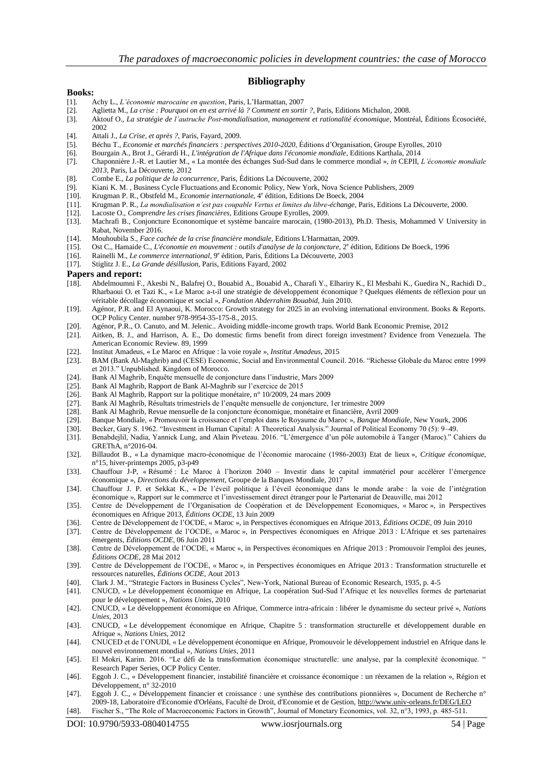### **Bibliography**

#### **Books:**

- [1]. Achy L., *L'économie marocaine en question*, Paris, L'Harmattan, 2007
- [2]. Aglietta M., *La crise : Pourquoi on en est arrivé là ? Comment en sortir ?*, Paris, Editions Michalon, 2008.
- [3]. Aktouf O., *La stratégie de l'autruche Post-mondialisation, management et rationalité économique*, Montréal, Éditions Écosociété, 2002
- [4]. Attali J., *La Crise, et après ?*, Paris, Fayard, 2009.
- [5]. Béchu T., *Economie et marchés financiers : perspectives 2010-2020*, Éditions d'Organisation, Groupe Eyrolles, 2010
- [6]. Bourgain A., Brot J., Gérardi H., *L'intégration de l'Afrique dans l'économie mondiale*, Editions Karthala, 2014
- [7]. Chaponnière J.-R. et Lautier M., « La montée des échanges Sud-Sud dans le commerce mondial », *in* CEPII, *L'économie mondiale 2013*, Paris, La Découverte, 2012
- [8]. Combe E., *La politique de la concurrence*, Paris, Éditions La Découverte, 2002
- [9]. Kiani K. M. , Business Cycle Fluctuations and Economic Policy, New York, Nova Science Publishers, 2009
- [10]. Krugman P. R., Obstfeld M., *Economie internationale*, <sup>4e</sup> édition, Editions De Boeck, 2004
- [11]. Krugman P. R., *La mondialisation n'est pas coupable Vertus et limites du libre-échange*, Paris, Editions La Découverte, 2000.
- [12]. Lacoste O., *Comprendre les crises financières*, Editions Groupe Eyrolles, 2009.
- [13]. Machrafi B., Conjoncture Econonomique et système bancaire marocain, (1980-2013), Ph.D. Thesis, Mohammed V University in Rabat, November 2016.
- [14]. Mouhoubila S., *Face cachée de la crise financière mondiale*, Editions L'Harmattan, 2009.
- [15]. Ost C., Hamaide C., *L'économie en mouvement : outils d'analyse de la conjoncture*, 2<sup>e</sup> édition, Editions De Boeck, 1996
- [16]. Rainelli M., *Le commerce international*, 9<sup>e</sup> édition, Paris, Éditions La Découverte, 2003
- [17]. Stiglitz J. E., *La Grande désillusion*, Paris, Editions Fayard, 2002

#### **Papers and report:**

- [18]. Abdelmoumni F., Akesbi N., Balafrej O., Bouabid A., Bouabid A., Charafi Y., Elhariry K., El Mesbahi K., Guedira N., Rachidi D., Rharbaoui O. et Tazi K., « Le Maroc a-t-il une stratégie de développement économique ? Quelques éléments de réflexion pour un véritable décollage économique et social », *Fondation Abderrahim Bouabid*, Juin 2010.
- [19]. Agénor, P.R. and El Aynaoui, K. Morocco: Growth strategy for 2025 in an evolving international environment. Books & Reports. OCP Policy Center. number 978-9954-35-175-8., 2015.
- [20]. Agénor, P.R., O. Canuto, and M. Jelenic.. Avoiding middle-income growth traps. World Bank Economic Premise, 2012
- [21]. Aitken, B. J., and Harrison, A. E., Do domestic firms benefit from direct foreign investment? Evidence from Venezuela. The American Economic Review. 89, 1999
- [22]. Institut Amadeus, « Le Maroc en Afrique : la voie royale », *Institut Amadeus*, 2015
- [23]. BAM (Bank Al-Maghrib) and (CESE) Economic, Social and Environmental Council. 2016. "Richesse Globale du Maroc entre 1999 et 2013." Unpublished. Kingdom of Morocco.
- [24]. Bank Al Maghrib, Enquête mensuelle de conjoncture dans l'industrie, Mars 2009
- 
- [25]. Bank Al Maghrib, Rapport de Bank Al-Maghrib sur l'exercice de 2015 [26]. Bank Al Maghrib, Rapport sur la politique monétaire, n° 10/2009, 24 mars 2009
- [27]. Bank Al Maghrib, Résultats trimestriels de l'enquête mensuelle de conjoncture, 1er trimestre 2009
- [28]. Bank Al Maghrib, Revue mensuelle de la conjoncture économique, monétaire et financière, Avril 2009 [29]. Banque Mondiale, « Promouvoir la croissance et l'emploi dans le Royaume du Maroc », Banque Mond
- [29]. Banque Mondiale, « Promouvoir la croissance et l'emploi dans le Royaume du Maroc », *Banque Mondiale*, New Yourk, 2006
- [30]. Becker, Gary S. 1962. "Investment in Human Capital: A Theoretical Analysis." Journal of Political Economy 70 (5): 9–49.
- [31]. Benabdejlil, Nadia, Yannick Lung, and Alain Piveteau. 2016. "L'émergence d'un pôle automobile à Tanger (Maroc)." Cahiers du GREThA, n°2016-04.
- [32]. Billaudot B., « La dynamique macro-économique de l'économie marocaine (1986-2003) Etat de lieux », *Critique économique*, n°15, hiver-printemps 2005, p3-p49
- [33]. Chauffour J-P, « Résumé : Le Maroc à l'horizon 2040 Investir dans le capital immatériel pour accélérer l'émergence économique », *Directions du développement*, Groupe de la Banques Mondiale, 2017
- [34]. Chauffour J. P. et Sekkat K., « De l'éveil politique à l'éveil économique dans le monde arabe : la voie de l'intégration économique », Rapport sur le commerce et l'investissement direct étranger pour le Partenariat de Deauville, mai 2012
- [35]. Centre de Développement de l'Organisation de Coopération et de Développement Economiques, « Maroc », in Perspectives économiques en Afrique 2013, *Éditions OCDE*, 13 Juin 2009
- [36]. Centre de Développement de l'OCDE, « Maroc », in Perspectives économiques en Afrique 2013, *Éditions OCDE*, 09 Juin 2010
- [37]. Centre de Développement de l'OCDE, « Maroc », in Perspectives économiques en Afrique 2013 : L'Afrique et ses partenaires émergents, *Éditions OCDE*, 06 Juin 2011
- [38]. Centre de Développement de l'OCDE, « Maroc », in Perspectives économiques en Afrique 2013 : Promouvoir l'emploi des jeunes, *Éditions OCDE*, 28 Mai 2012
- [39]. Centre de Développement de l'OCDE, « Maroc », in Perspectives économiques en Afrique 2013 : Transformation structurelle et ressources naturelles, *Éditions OCDE*, Aout 2013
- [40]. Clark J. M., "Strategie Factors in Business Cycles", New-York, National Bureau of Economic Research, 1935, p. 4-5
- [41]. CNUCD, « Le développement économique en Afrique, La coopération Sud-Sud l'Afrique et les nouvelles formes de partenariat pour le développement », *Nations Unies*, 2010
- [42]. CNUCD, « Le développement économique en Afrique, Commerce intra-africain : libérer le dynamisme du secteur privé », *Nations Unies*, 2013
- [43]. CNUCD, « Le développement économique en Afrique, Chapitre 5 : transformation structurelle et développement durable en Afrique », *Nations Unies*, 2012
- [44]. CNUCED et de l'ONUDI, « Le développement économique en Afrique, Promouvoir le développement industriel en Afrique dans le nouvel environnement mondial », *Nations Unies*, 2011
- [45]. El Mokri, Karim. 2016. "Le défi de la transformation économique structurelle: une analyse, par la complexité économique. " Research Paper Series, OCP Policy Center.
- [46]. Eggoh J. C., « Développement financier, instabilité financière et croissance économique : un réexamen de la relation », Région et Développement, n° 32-2010
- [47]. Eggoh J. C., « Développement financier et croissance : une synthèse des contributions pionnières », Document de Recherche n° 2009-18, Laboratoire d'Economie d'Orléans, Faculté de Droit, d'Economie et de Gestion[, http://www.univ-orleans.fr/DEG/LEO](http://www.univ-orleans.fr/DEG/LEO)
- [48]. Fischer S., "The Role of Macroeconomic Factors in Growth", Journal of Monetary Economics, vol. 32, n°3, 1993, p. 485-511.